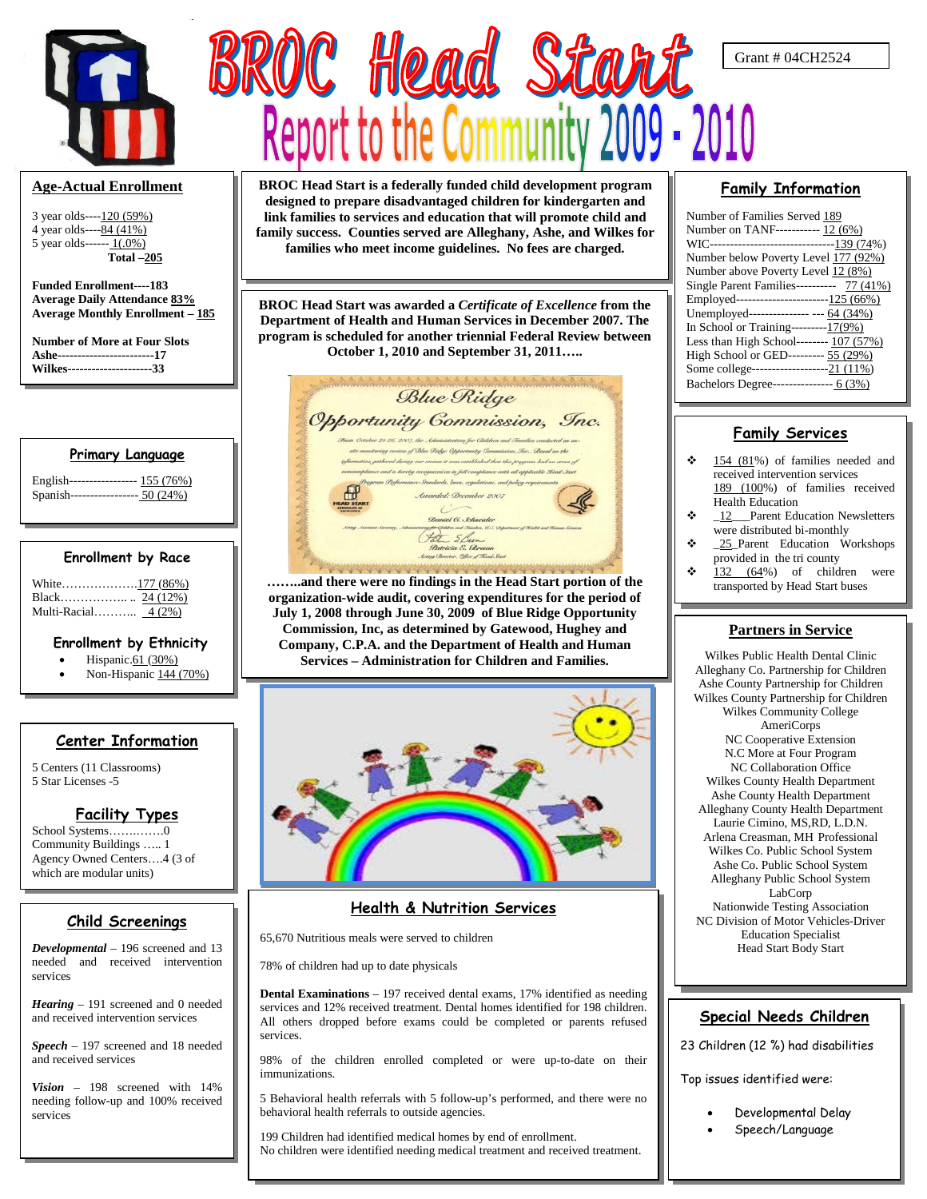

#### **Age-Actual Enrollment**

3 year olds----120 (59%) 4 year olds----84 (41%) 5 year olds------  $1(.0\%)$  **Total –205**

**Funded Enrollment----183 Average Daily Attendance 83% Average Monthly Enrollment – 185**

**Number of More at Four Slots Ashe------------------------17 Wilkes---------------------33**

#### **Primary Language**

| English----------------- 155 (76%) |  |
|------------------------------------|--|
| Spanish----------------- 50 (24%)  |  |

#### **Enrollment by Race**

| White177 (86%)      |  |
|---------------------|--|
|                     |  |
| Multi-Racial 4 (2%) |  |

#### **Enrollment by Ethnicity**

- Hispanic.61 (30%)
- Non-Hispanic 144 (70%)

#### **Center Information**

5 Centers (11 Classrooms) 5 Star Licenses -5

#### **Facility Types**

School Systems…….…….0 Community Buildings ….. 1 Agency Owned Centers….4 (3 of which are modular units)

#### **Child Screenings**

*Developmental* – 196 screened and 13 needed and received intervention services

*Hearing* – 191 screened and 0 needed and received intervention services

*Speech* – 197 screened and 18 needed and received services

*Vision* – 198 screened with 14% needing follow-up and 100% received services

**BROC Head Start is a federally funded child development program designed to prepare disadvantaged children for kindergarten and link families to services and education that will promote child and family success. Counties served are Alleghany, Ashe, and Wilkes for families who meet income guidelines. No fees are charged.**

BROC Head Start

**BROC Head Start was awarded a** *Certificate of Excellence* **from the Department of Health and Human Services in December 2007. The program is scheduled for another triennial Federal Review between October 1, 2010 and September 31, 2011…..**



**……..and there were no findings in the Head Start portion of the organization-wide audit, covering expenditures for the period of July 1, 2008 through June 30, 2009 of Blue Ridge Opportunity Commission, Inc, as determined by Gatewood, Hughey and Company, C.P.A. and the Department of Health and Human Services – Administration for Children and Families.**



### **Health & Nutrition Services**

65,670 Nutritious meals were served to children

78% of children had up to date physicals

**Dental Examinations** – 197 received dental exams, 17% identified as needing services and 12% received treatment. Dental homes identified for 198 children. All others dropped before exams could be completed or parents refused services.

98% of the children enrolled completed or were up-to-date on their immunizations.

5 Behavioral health referrals with 5 follow-up's performed, and there were no behavioral health referrals to outside agencies.

199 Children had identified medical homes by end of enrollment. No children were identified needing medical treatment and received treatment.

#### **Family Information**

Grant # 04CH2524

| Number of Families Served 189              |
|--------------------------------------------|
| Number on TANF----------- 12 (6%)          |
| WIC------------------------------139 (74%) |
| Number below Poverty Level 177 (92%)       |
| Number above Poverty Level 12 (8%)         |
| Single Parent Families---------- 77 (41%)  |
| Employed------------------------125 (66%)  |
| Unemployed--------------- --- 64 (34%)     |
| In School or Training---------17(9%)       |
| Less than High School-------- 107 (57%)    |
| High School or GED--------- 55 (29%)       |
| Some college--------------------21 (11%)   |
| Bachelors Degree--------------- 6 (3%)     |
|                                            |

#### **Family Services**

- 154 (81%) of families needed and received intervention services 189 (100%) of families received Health Education
- \_12\_\_\_Parent Education Newsletters were distributed bi-monthly
- \* \_25\_Parent Education Workshops provided in the tri county
- 132 (64%) of children were transported by Head Start buses

#### **Partners in Service**

Wilkes Public Health Dental Clinic Alleghany Co. Partnership for Children Ashe County Partnership for Children Wilkes County Partnership for Children Wilkes Community College AmeriCorps NC Cooperative Extension N.C More at Four Program NC Collaboration Office Wilkes County Health Department Ashe County Health Department Alleghany County Health Department Laurie Cimino, MS,RD, L.D.N. Arlena Creasman, MH Professional Wilkes Co. Public School System Ashe Co. Public School System Alleghany Public School System LabCorp Nationwide Testing Association NC Division of Motor Vehicles-Driver Education Specialist Head Start Body Start

#### **Special Needs Children**

23 Children (12 %) had disabilities

Top issues identified were:

- Developmental Delay
- Speech/Language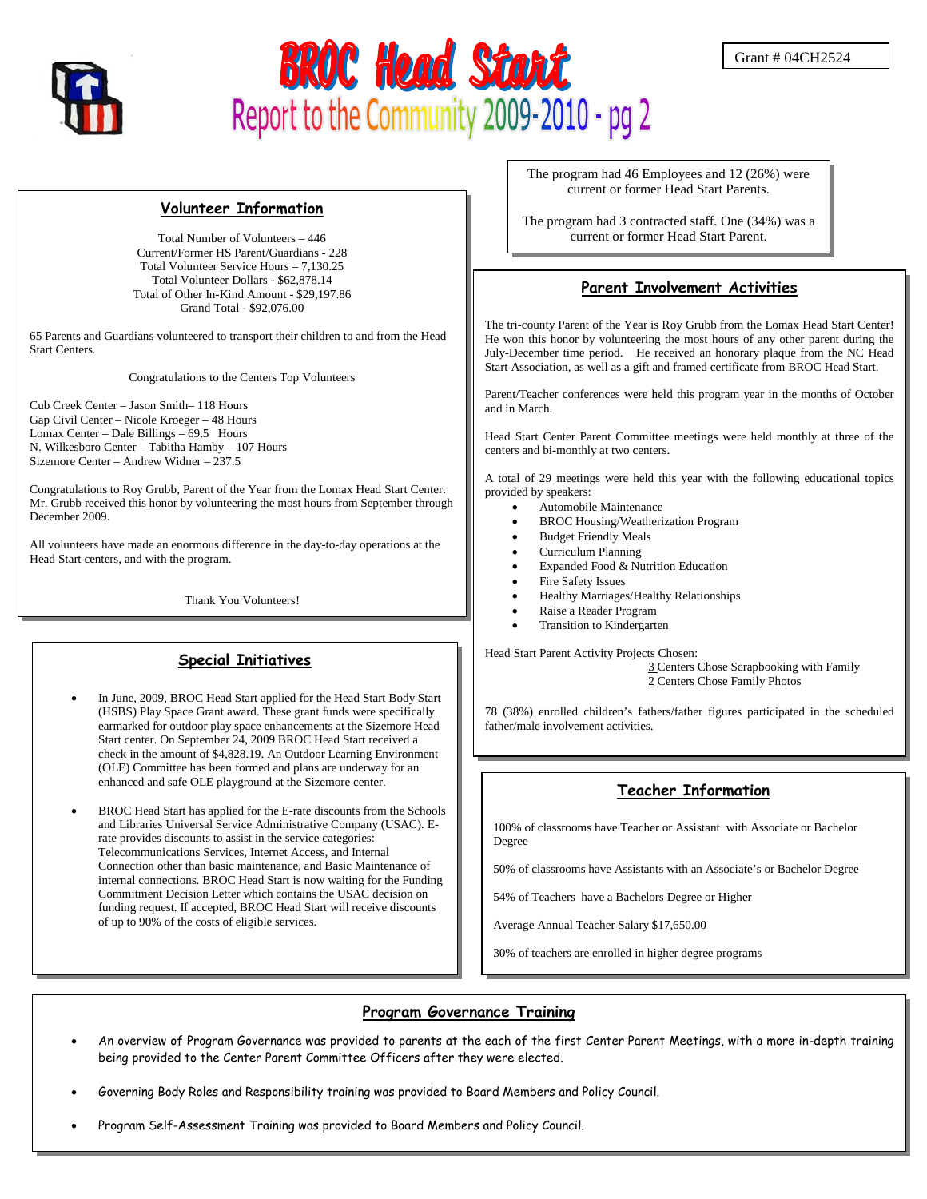



#### **Volunteer Information**

Total Number of Volunteers – 446 Current/Former HS Parent/Guardians - 228 Total Volunteer Service Hours – 7,130.25 Total Volunteer Dollars - \$62,878.14 Total of Other In-Kind Amount - \$29,197.86 Grand Total - \$92,076.00

65 Parents and Guardians volunteered to transport their children to and from the Head Start Centers.

Congratulations to the Centers Top Volunteers

Cub Creek Center – Jason Smith– 118 Hours Gap Civil Center – Nicole Kroeger – 48 Hours Lomax Center – Dale Billings – 69.5 Hours N. Wilkesboro Center – Tabitha Hamby – 107 Hours Sizemore Center – Andrew Widner – 237.5

Congratulations to Roy Grubb, Parent of the Year from the Lomax Head Start Center. Mr. Grubb received this honor by volunteering the most hours from September through December 2009.

All volunteers have made an enormous difference in the day-to-day operations at the Head Start centers, and with the program.

Thank You Volunteers!

#### **Special Initiatives**

- In June, 2009, BROC Head Start applied for the Head Start Body Start (HSBS) Play Space Grant award. These grant funds were specifically earmarked for outdoor play space enhancements at the Sizemore Head Start center. On September 24, 2009 BROC Head Start received a check in the amount of \$4,828.19. An Outdoor Learning Environment (OLE) Committee has been formed and plans are underway for an enhanced and safe OLE playground at the Sizemore center.
- BROC Head Start has applied for the E-rate discounts from the Schools and Libraries Universal Service Administrative Company (USAC). Erate provides discounts to assist in the service categories: Telecommunications Services, Internet Access, and Internal Connection other than basic maintenance, and Basic Maintenance of internal connections. BROC Head Start is now waiting for the Funding Commitment Decision Letter which contains the USAC decision on funding request. If accepted, BROC Head Start will receive discounts of up to 90% of the costs of eligible services.

The program had 46 Employees and 12 (26%) were current or former Head Start Parents.

The program had 3 contracted staff. One (34%) was a current or former Head Start Parent.

#### **Parent Involvement Activities**

The tri-county Parent of the Year is Roy Grubb from the Lomax Head Start Center! He won this honor by volunteering the most hours of any other parent during the July-December time period. He received an honorary plaque from the NC Head Start Association, as well as a gift and framed certificate from BROC Head Start.

Parent/Teacher conferences were held this program year in the months of October and in March.

Head Start Center Parent Committee meetings were held monthly at three of the centers and bi-monthly at two centers.

A total of 29 meetings were held this year with the following educational topics provided by speakers:

- Automobile Maintenance
	- BROC Housing/Weatherization Program
- Budget Friendly Meals
- Curriculum Planning
- Expanded Food & Nutrition Education
- Fire Safety Issues
- Healthy Marriages/Healthy Relationships
- Raise a Reader Program
- Transition to Kindergarten

Head Start Parent Activity Projects Chosen:

3 Centers Chose Scrapbooking with Family 2 Centers Chose Family Photos

78 (38%) enrolled children's fathers/father figures participated in the scheduled father/male involvement activities.

#### **Teacher Information**

100% of classrooms have Teacher or Assistant with Associate or Bachelor Degree

50% of classrooms have Assistants with an Associate's or Bachelor Degree

54% of Teachers have a Bachelors Degree or Higher

Average Annual Teacher Salary \$17,650.00

30% of teachers are enrolled in higher degree programs

#### I **Program Governance Training**

- An overview of Program Governance was provided to parents at the each of the first Center Parent Meetings, with a more in-depth training being provided to the Center Parent Committee Officers after they were elected.
- Governing Body Roles and Responsibility training was provided to Board Members and Policy Council.
- Program Self-Assessment Training was provided to Board Members and Policy Council.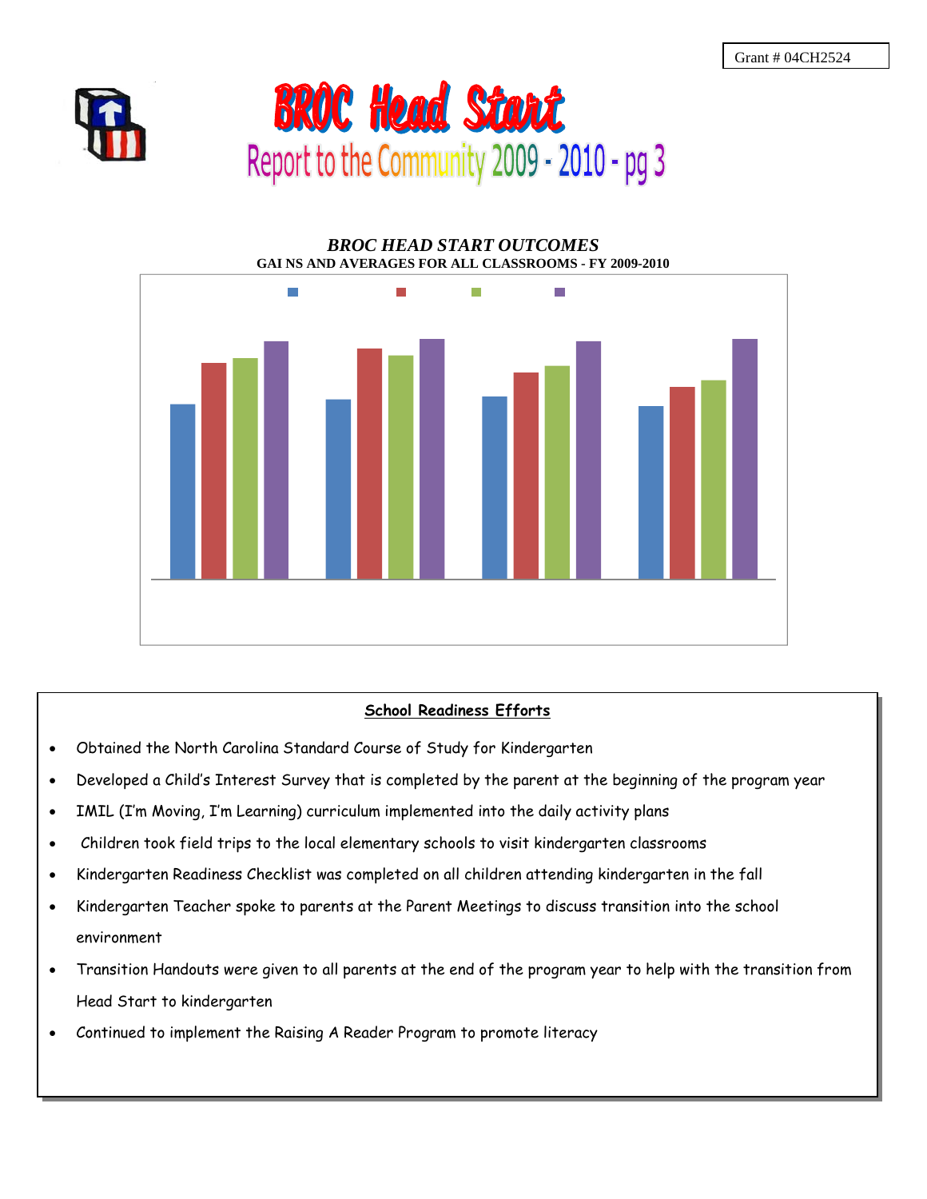



# *BROC HEAD START OUTCOMES* **GAI NS AND AVERAGES FOR ALL CLASSROOMS - FY 2009-2010** m. т П

#### **School Readiness Efforts**

- Obtained the North Carolina Standard Course of Study for Kindergarten
- Developed a Child's Interest Survey that is completed by the parent at the beginning of the program year
- IMIL (I'm Moving, I'm Learning) curriculum implemented into the daily activity plans
- Children took field trips to the local elementary schools to visit kindergarten classrooms
- Kindergarten Readiness Checklist was completed on all children attending kindergarten in the fall
- Kindergarten Teacher spoke to parents at the Parent Meetings to discuss transition into the school environment
- Transition Handouts were given to all parents at the end of the program year to help with the transition from Head Start to kindergarten
- Continued to implement the Raising A Reader Program to promote literacy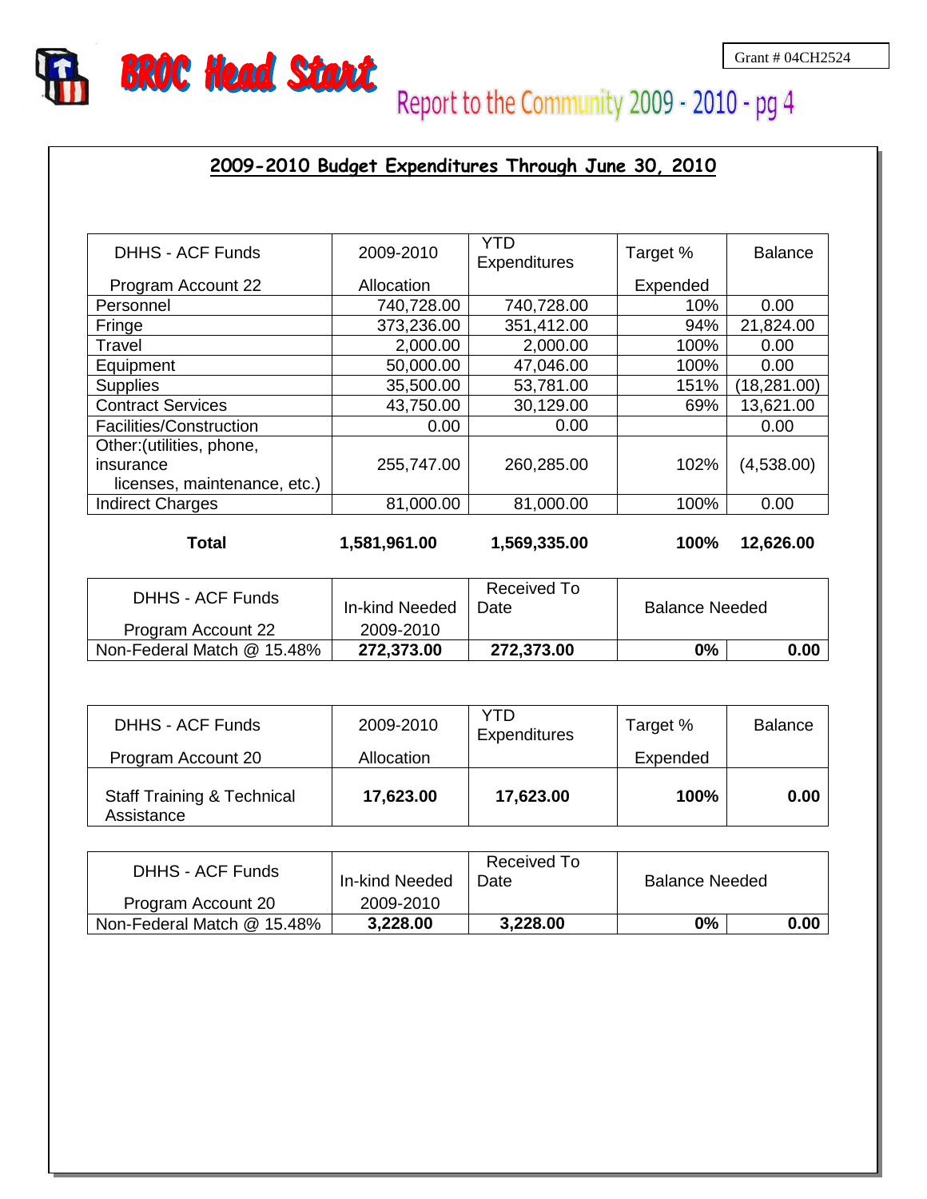

# Report to the Community 2009 - 2010 - pg 4

#### **2009-2010 Budget Expenditures Through June 30, 2010**

| <b>DHHS - ACF Funds</b>      | 2009-2010  | YTD<br>Expenditures | Target % | <b>Balance</b> |
|------------------------------|------------|---------------------|----------|----------------|
| Program Account 22           | Allocation |                     | Expended |                |
| Personnel                    | 740,728.00 | 740,728.00          | 10%      | 0.00           |
| Fringe                       | 373,236.00 | 351,412.00          | 94%      | 21,824.00      |
| Travel                       | 2,000.00   | 2,000.00            | 100%     | 0.00           |
| Equipment                    | 50,000.00  | 47,046.00           | 100%     | 0.00           |
| <b>Supplies</b>              | 35,500.00  | 53,781.00           | 151%     | (18, 281.00)   |
| <b>Contract Services</b>     | 43,750.00  | 30,129.00           | 69%      | 13,621.00      |
| Facilities/Construction      | 0.00       | 0.00                |          | 0.00           |
| Other: (utilities, phone,    |            |                     |          |                |
| insurance                    | 255,747.00 | 260,285.00          | 102%     | (4,538.00)     |
| licenses, maintenance, etc.) |            |                     |          |                |
| <b>Indirect Charges</b>      | 81,000.00  | 81,000.00           | 100%     | 0.00           |

**Total**

**1,581,961.00 1,569,335.00 100% 12,626.00**

| <b>DHHS - ACF Funds</b>    | In-kind Needed | Received To<br>Date | <b>Balance Needed</b> |      |
|----------------------------|----------------|---------------------|-----------------------|------|
| Program Account 22         | 2009-2010      |                     |                       |      |
| Non-Federal Match @ 15.48% | 272,373.00     | 272,373.00          | 0%                    | 0.00 |

| DHHS - ACF Funds                                    | 2009-2010  | YTD<br>Expenditures | Target % | <b>Balance</b> |
|-----------------------------------------------------|------------|---------------------|----------|----------------|
| Program Account 20                                  | Allocation |                     | Expended |                |
| <b>Staff Training &amp; Technical</b><br>Assistance | 17,623.00  | 17,623.00           | 100%     | 0.00           |

| <b>DHHS - ACF Funds</b>    | In-kind Needed | Received To<br>Date | <b>Balance Needed</b> |      |
|----------------------------|----------------|---------------------|-----------------------|------|
| Program Account 20         | 2009-2010      |                     |                       |      |
| Non-Federal Match @ 15.48% | 3,228.00       | 3,228.00            | 0%                    | 0.00 |